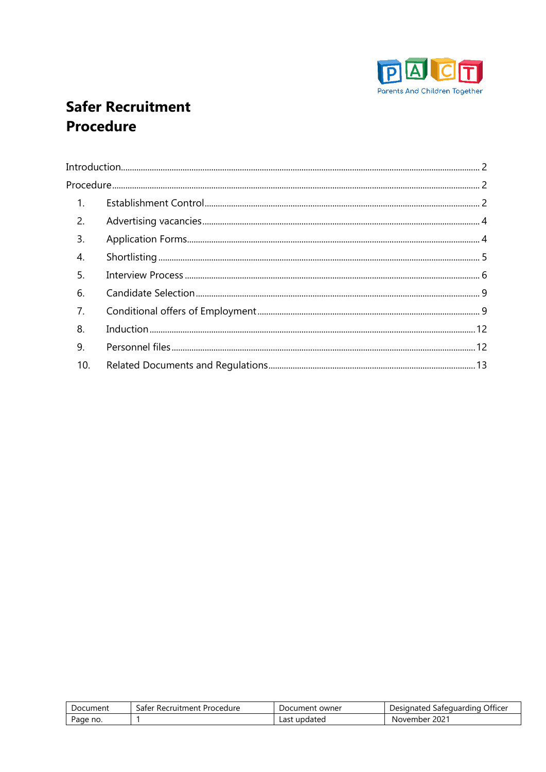

# **Safer Recruitment Procedure**

| 1.               |  |
|------------------|--|
| 2.               |  |
| 3.               |  |
| $\overline{4}$ . |  |
| 5.               |  |
| 6.               |  |
| 7.               |  |
| 8.               |  |
| 9.               |  |
| 10.              |  |

| Document | Procedure<br>aterد<br>Recruitment | . owner<br>Document | . Officer<br>Safequarding<br>Designated |
|----------|-----------------------------------|---------------------|-----------------------------------------|
| Page no. |                                   | Last<br>updated     | 202 <sup>2</sup><br>November            |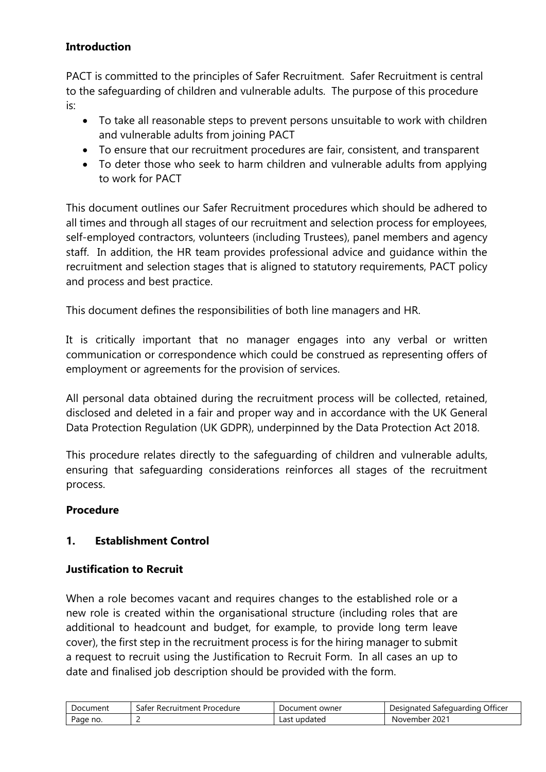## <span id="page-1-0"></span>**Introduction**

PACT is committed to the principles of Safer Recruitment. Safer Recruitment is central to the safeguarding of children and vulnerable adults. The purpose of this procedure is:

- To take all reasonable steps to prevent persons unsuitable to work with children and vulnerable adults from joining PACT
- To ensure that our recruitment procedures are fair, consistent, and transparent
- To deter those who seek to harm children and vulnerable adults from applying to work for PACT

This document outlines our Safer Recruitment procedures which should be adhered to all times and through all stages of our recruitment and selection process for employees, self-employed contractors, volunteers (including Trustees), panel members and agency staff. In addition, the HR team provides professional advice and guidance within the recruitment and selection stages that is aligned to statutory requirements, PACT policy and process and best practice.

This document defines the responsibilities of both line managers and HR.

It is critically important that no manager engages into any verbal or written communication or correspondence which could be construed as representing offers of employment or agreements for the provision of services.

All personal data obtained during the recruitment process will be collected, retained, disclosed and deleted in a fair and proper way and in accordance with the UK General Data Protection Regulation (UK GDPR), underpinned by the Data Protection Act 2018.

This procedure relates directly to the safeguarding of children and vulnerable adults, ensuring that safeguarding considerations reinforces all stages of the recruitment process.

### <span id="page-1-1"></span>**Procedure**

### <span id="page-1-2"></span>**1. Establishment Control**

### **Justification to Recruit**

When a role becomes vacant and requires changes to the established role or a new role is created within the organisational structure (including roles that are additional to headcount and budget, for example, to provide long term leave cover), the first step in the recruitment process is for the hiring manager to submit a request to recruit using the Justification to Recruit Form. In all cases an up to date and finalised job description should be provided with the form.

| Document | * Recruitment .<br>Procedure<br>-aterد | Document owner  | Safeguarding Officer<br>Designated |
|----------|----------------------------------------|-----------------|------------------------------------|
| Page no. | -                                      | updated<br>Last | $202^{\circ}$<br>November          |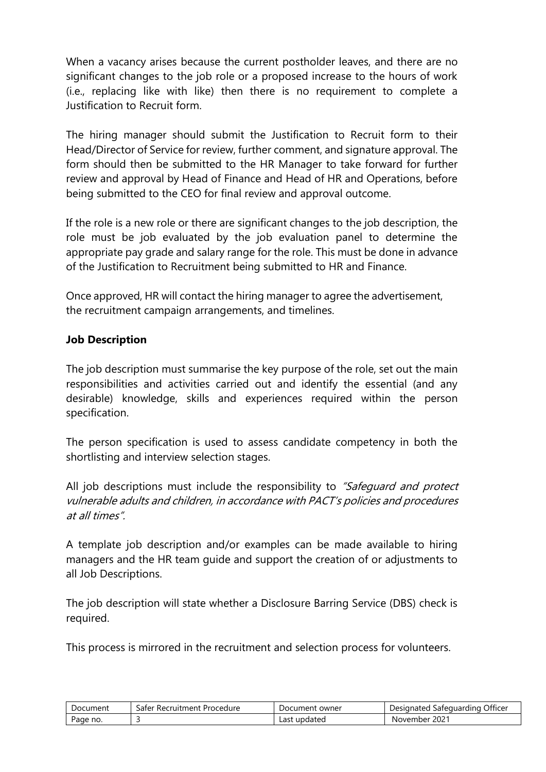When a vacancy arises because the current postholder leaves, and there are no significant changes to the job role or a proposed increase to the hours of work (i.e., replacing like with like) then there is no requirement to complete a Justification to Recruit form.

The hiring manager should submit the Justification to Recruit form to their Head/Director of Service for review, further comment, and signature approval. The form should then be submitted to the HR Manager to take forward for further review and approval by Head of Finance and Head of HR and Operations, before being submitted to the CEO for final review and approval outcome.

If the role is a new role or there are significant changes to the job description, the role must be job evaluated by the job evaluation panel to determine the appropriate pay grade and salary range for the role. This must be done in advance of the Justification to Recruitment being submitted to HR and Finance.

Once approved, HR will contact the hiring manager to agree the advertisement, the recruitment campaign arrangements, and timelines.

### **Job Description**

The job description must summarise the key purpose of the role, set out the main responsibilities and activities carried out and identify the essential (and any desirable) knowledge, skills and experiences required within the person specification.

The person specification is used to assess candidate competency in both the shortlisting and interview selection stages.

All job descriptions must include the responsibility to "Safequard and protect vulnerable adults and children, in accordance with PACT's policies and procedures at all times".

A template job description and/or examples can be made available to hiring managers and the HR team guide and support the creation of or adjustments to all Job Descriptions.

The job description will state whether a Disclosure Barring Service (DBS) check is required.

This process is mirrored in the recruitment and selection process for volunteers.

| Document | safer<br>' Recruitment Procedure | Document owner  | . Officer<br>Designated<br>Safequarding |
|----------|----------------------------------|-----------------|-----------------------------------------|
| Page no. |                                  | updated<br>Last | $202^{\circ}$<br>November               |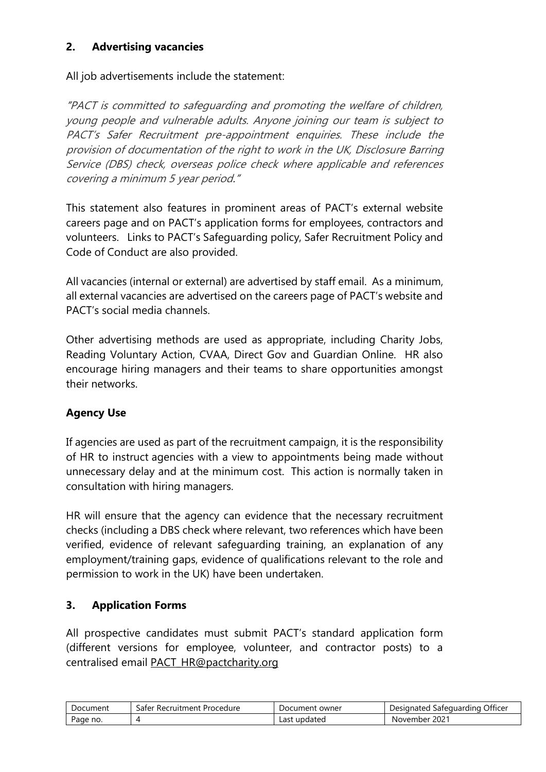### <span id="page-3-0"></span>**2. Advertising vacancies**

#### All job advertisements include the statement:

"PACT is committed to safeguarding and promoting the welfare of children, young people and vulnerable adults. Anyone joining our team is subject to PACT's Safer Recruitment pre-appointment enquiries. These include the provision of documentation of the right to work in the UK, Disclosure Barring Service (DBS) check, overseas police check where applicable and references covering a minimum 5 year period."

This statement also features in prominent areas of PACT's external website careers page and on PACT's application forms for employees, contractors and volunteers. Links to PACT's Safeguarding policy, Safer Recruitment Policy and Code of Conduct are also provided.

All vacancies (internal or external) are advertised by staff email. As a minimum, all external vacancies are advertised on the careers page of PACT's website and PACT's social media channels.

Other advertising methods are used as appropriate, including Charity Jobs, Reading Voluntary Action, CVAA, Direct Gov and Guardian Online. HR also encourage hiring managers and their teams to share opportunities amongst their networks.

### **Agency Use**

If agencies are used as part of the recruitment campaign, it is the responsibility of HR to instruct agencies with a view to appointments being made without unnecessary delay and at the minimum cost. This action is normally taken in consultation with hiring managers.

HR will ensure that the agency can evidence that the necessary recruitment checks (including a DBS check where relevant, two references which have been verified, evidence of relevant safeguarding training, an explanation of any employment/training gaps, evidence of qualifications relevant to the role and permission to work in the UK) have been undertaken.

### <span id="page-3-1"></span>**3. Application Forms**

All prospective candidates must submit PACT's standard application form (different versions for employee, volunteer, and contractor posts) to a centralised email [PACT\\_HR@pactcharity.org](mailto:PACT_HR@pactcharity.org)

| Document | $\sim$<br>Procedure<br>' Recruitment<br>aterد | . owner<br>Document | . Officer<br>Safeguarding<br>Designated |
|----------|-----------------------------------------------|---------------------|-----------------------------------------|
| Page no. |                                               | updated<br>Last     | 202 <sup>2</sup><br>November            |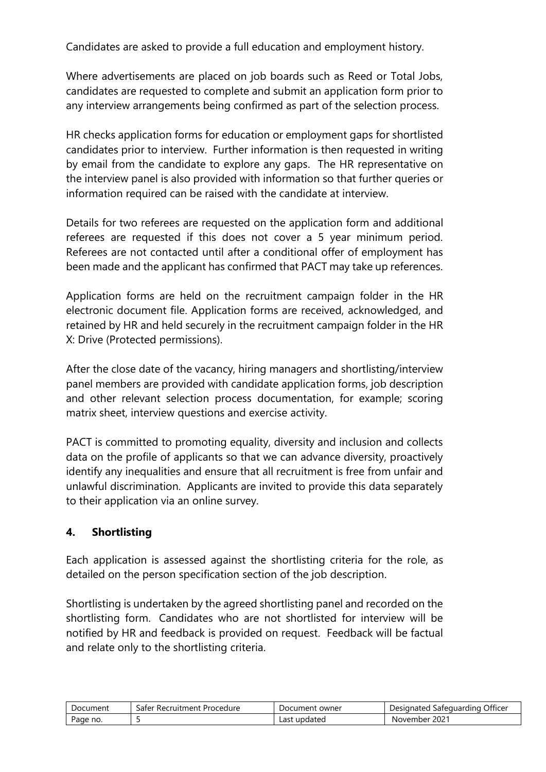Candidates are asked to provide a full education and employment history.

Where advertisements are placed on job boards such as Reed or Total Jobs, candidates are requested to complete and submit an application form prior to any interview arrangements being confirmed as part of the selection process.

HR checks application forms for education or employment gaps for shortlisted candidates prior to interview. Further information is then requested in writing by email from the candidate to explore any gaps. The HR representative on the interview panel is also provided with information so that further queries or information required can be raised with the candidate at interview.

Details for two referees are requested on the application form and additional referees are requested if this does not cover a 5 year minimum period. Referees are not contacted until after a conditional offer of employment has been made and the applicant has confirmed that PACT may take up references.

Application forms are held on the recruitment campaign folder in the HR electronic document file. Application forms are received, acknowledged, and retained by HR and held securely in the recruitment campaign folder in the HR X: Drive (Protected permissions).

After the close date of the vacancy, hiring managers and shortlisting/interview panel members are provided with candidate application forms, job description and other relevant selection process documentation, for example; scoring matrix sheet, interview questions and exercise activity.

PACT is committed to promoting equality, diversity and inclusion and collects data on the profile of applicants so that we can advance diversity, proactively identify any inequalities and ensure that all recruitment is free from unfair and unlawful discrimination. Applicants are invited to provide this data separately to their application via an online survey.

### <span id="page-4-0"></span>**4. Shortlisting**

Each application is assessed against the shortlisting criteria for the role, as detailed on the person specification section of the job description.

Shortlisting is undertaken by the agreed shortlisting panel and recorded on the shortlisting form. Candidates who are not shortlisted for interview will be notified by HR and feedback is provided on request. Feedback will be factual and relate only to the shortlisting criteria.

| Document | : Procedure<br>r Recruitment i<br>aterد | Document owner  | . Officer<br>Designated<br>Safequarding |
|----------|-----------------------------------------|-----------------|-----------------------------------------|
| Page no. |                                         | updated<br>Last | $202^{\circ}$<br>November               |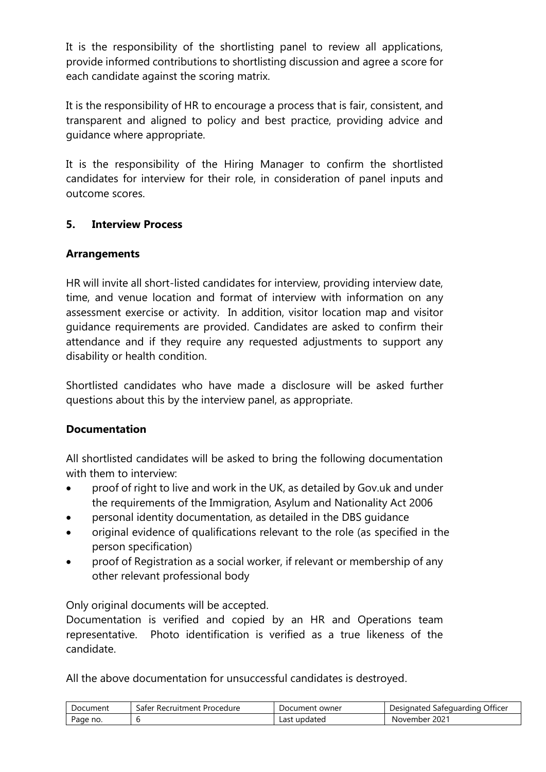It is the responsibility of the shortlisting panel to review all applications, provide informed contributions to shortlisting discussion and agree a score for each candidate against the scoring matrix.

It is the responsibility of HR to encourage a process that is fair, consistent, and transparent and aligned to policy and best practice, providing advice and guidance where appropriate.

It is the responsibility of the Hiring Manager to confirm the shortlisted candidates for interview for their role, in consideration of panel inputs and outcome scores.

### <span id="page-5-0"></span>**5. Interview Process**

### **Arrangements**

HR will invite all short-listed candidates for interview, providing interview date, time, and venue location and format of interview with information on any assessment exercise or activity. In addition, visitor location map and visitor guidance requirements are provided. Candidates are asked to confirm their attendance and if they require any requested adjustments to support any disability or health condition.

Shortlisted candidates who have made a disclosure will be asked further questions about this by the interview panel, as appropriate.

## **Documentation**

All shortlisted candidates will be asked to bring the following documentation with them to interview:

- proof of right to live and work in the UK, as detailed by Gov.uk and under the requirements of the Immigration, Asylum and Nationality Act 2006
- personal identity documentation, as detailed in the DBS guidance
- original evidence of qualifications relevant to the role (as specified in the person specification)
- proof of Registration as a social worker, if relevant or membership of any other relevant professional body

Only original documents will be accepted.

Documentation is verified and copied by an HR and Operations team representative. Photo identification is verified as a true likeness of the candidate.

All the above documentation for unsuccessful candidates is destroyed.

| Document | -aferد<br>Procedure<br>Recruitment | owner<br>Document | Officer<br>Designated<br>Safequarding |
|----------|------------------------------------|-------------------|---------------------------------------|
| Page no. |                                    | updated "<br>Last | 2021<br>November                      |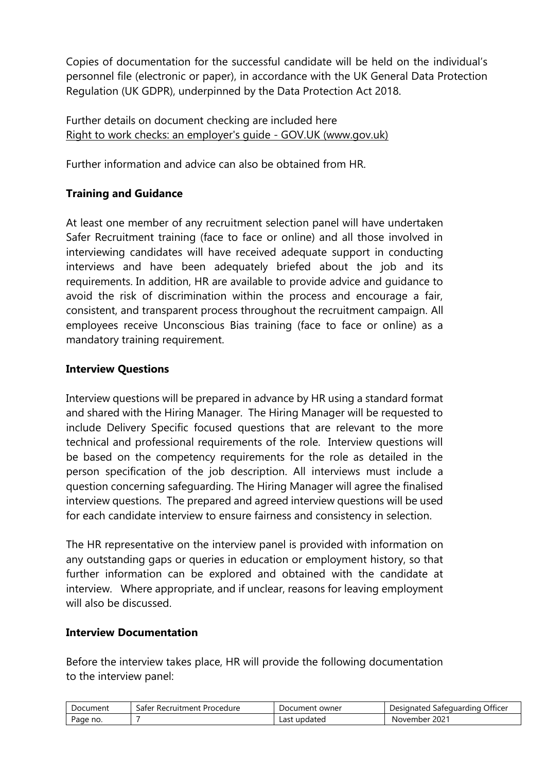Copies of documentation for the successful candidate will be held on the individual's personnel file (electronic or paper), in accordance with the UK General Data Protection Regulation (UK GDPR), underpinned by the Data Protection Act 2018.

Further details on document checking are included here [Right to work checks: an employer's guide -](https://www.gov.uk/government/publications/right-to-work-checks-employers-guide) GOV.UK (www.gov.uk)

Further information and advice can also be obtained from HR.

## **Training and Guidance**

At least one member of any recruitment selection panel will have undertaken Safer Recruitment training (face to face or online) and all those involved in interviewing candidates will have received adequate support in conducting interviews and have been adequately briefed about the job and its requirements. In addition, HR are available to provide advice and guidance to avoid the risk of discrimination within the process and encourage a fair, consistent, and transparent process throughout the recruitment campaign. All employees receive Unconscious Bias training (face to face or online) as a mandatory training requirement.

### **Interview Questions**

Interview questions will be prepared in advance by HR using a standard format and shared with the Hiring Manager. The Hiring Manager will be requested to include Delivery Specific focused questions that are relevant to the more technical and professional requirements of the role. Interview questions will be based on the competency requirements for the role as detailed in the person specification of the job description. All interviews must include a question concerning safeguarding. The Hiring Manager will agree the finalised interview questions. The prepared and agreed interview questions will be used for each candidate interview to ensure fairness and consistency in selection.

The HR representative on the interview panel is provided with information on any outstanding gaps or queries in education or employment history, so that further information can be explored and obtained with the candidate at interview. Where appropriate, and if unclear, reasons for leaving employment will also be discussed.

### **Interview Documentation**

Before the interview takes place, HR will provide the following documentation to the interview panel:

| Document | aterد<br>Procedure<br>* Recruitment . | Document owner    | Officer<br>Designated<br>Safeguarding |
|----------|---------------------------------------|-------------------|---------------------------------------|
| Page no. |                                       | _ast ·<br>updated | $202^{\circ}$<br>November             |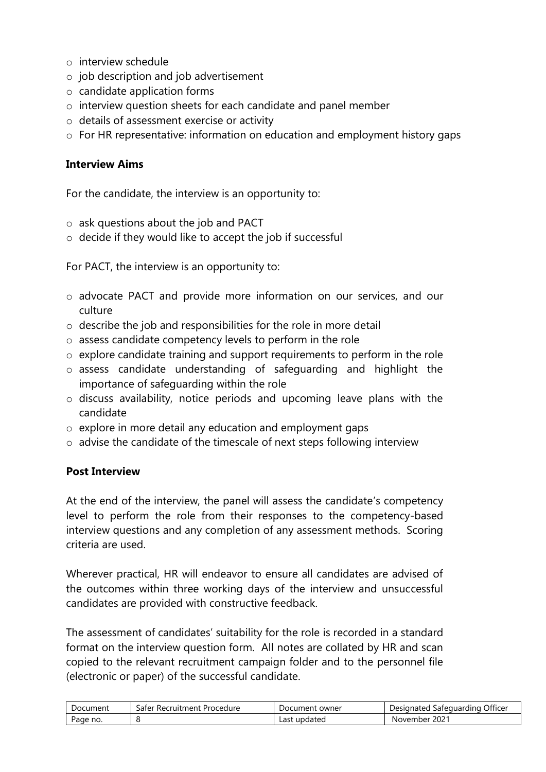- o interview schedule
- o job description and job advertisement
- o candidate application forms
- o interview question sheets for each candidate and panel member
- o details of assessment exercise or activity
- o For HR representative: information on education and employment history gaps

#### **Interview Aims**

For the candidate, the interview is an opportunity to:

- o ask questions about the job and PACT
- o decide if they would like to accept the job if successful

For PACT, the interview is an opportunity to:

- o advocate PACT and provide more information on our services, and our culture
- o describe the job and responsibilities for the role in more detail
- o assess candidate competency levels to perform in the role
- o explore candidate training and support requirements to perform in the role
- o assess candidate understanding of safeguarding and highlight the importance of safeguarding within the role
- o discuss availability, notice periods and upcoming leave plans with the candidate
- o explore in more detail any education and employment gaps
- o advise the candidate of the timescale of next steps following interview

#### **Post Interview**

At the end of the interview, the panel will assess the candidate's competency level to perform the role from their responses to the competency-based interview questions and any completion of any assessment methods. Scoring criteria are used.

Wherever practical, HR will endeavor to ensure all candidates are advised of the outcomes within three working days of the interview and unsuccessful candidates are provided with constructive feedback.

The assessment of candidates' suitability for the role is recorded in a standard format on the interview question form. All notes are collated by HR and scan copied to the relevant recruitment campaign folder and to the personnel file (electronic or paper) of the successful candidate.

| Document | <sup>.</sup> Recruitment<br>Procedure<br>safer | Document owner    | Officer<br>Designated<br>Safeguarding |
|----------|------------------------------------------------|-------------------|---------------------------------------|
| Page no. |                                                | updated<br>Last ' | $202^{\circ}$<br>November             |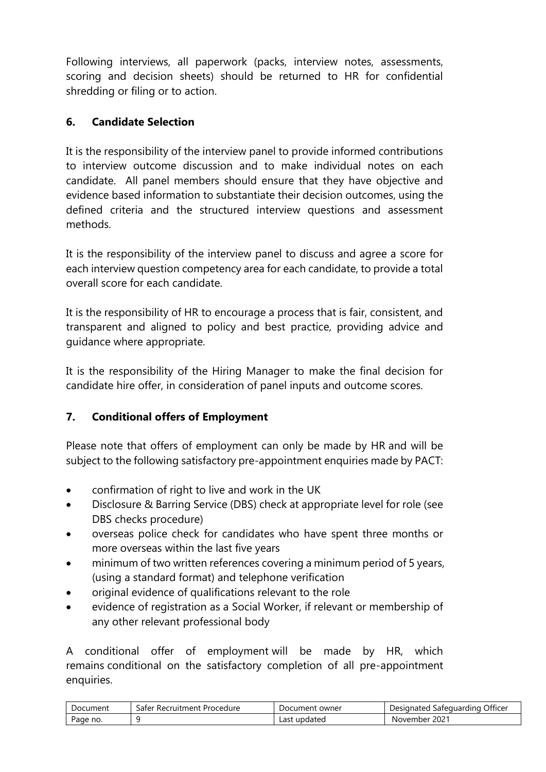Following interviews, all paperwork (packs, interview notes, assessments, scoring and decision sheets) should be returned to HR for confidential shredding or filing or to action.

## <span id="page-8-0"></span>**6. Candidate Selection**

It is the responsibility of the interview panel to provide informed contributions to interview outcome discussion and to make individual notes on each candidate. All panel members should ensure that they have objective and evidence based information to substantiate their decision outcomes, using the defined criteria and the structured interview questions and assessment methods.

It is the responsibility of the interview panel to discuss and agree a score for each interview question competency area for each candidate, to provide a total overall score for each candidate.

It is the responsibility of HR to encourage a process that is fair, consistent, and transparent and aligned to policy and best practice, providing advice and guidance where appropriate.

It is the responsibility of the Hiring Manager to make the final decision for candidate hire offer, in consideration of panel inputs and outcome scores.

# <span id="page-8-1"></span>**7. Conditional offers of Employment**

Please note that offers of employment can only be made by HR and will be subject to the following satisfactory pre-appointment enquiries made by PACT:

- confirmation of right to live and work in the UK
- Disclosure & Barring Service (DBS) check at appropriate level for role (see DBS checks procedure)
- overseas police check for candidates who have spent three months or more overseas within the last five years
- minimum of two written references covering a minimum period of 5 years, (using a standard format) and telephone verification
- original evidence of qualifications relevant to the role
- evidence of registration as a Social Worker, if relevant or membership of any other relevant professional body

A conditional offer of employment will be made by HR, which remains conditional on the satisfactory completion of all pre-appointment enquiries.

| Document | sater<br>' Recruitment Procedure | Document<br>. owner | . Officer<br>Designated<br>Safeguarding |
|----------|----------------------------------|---------------------|-----------------------------------------|
| Page no. |                                  | Last<br>updated     | $202^{\circ}$<br>November               |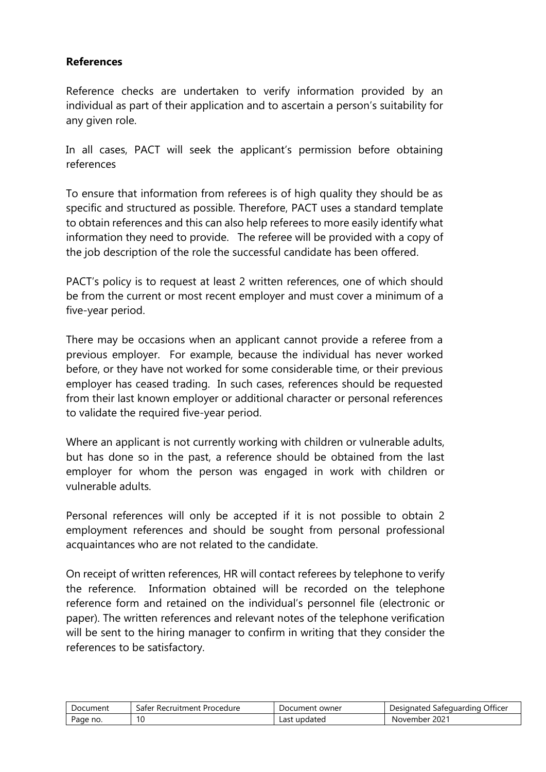#### **References**

Reference checks are undertaken to verify information provided by an individual as part of their application and to ascertain a person's suitability for any given role.

In all cases, PACT will seek the applicant's permission before obtaining references

To ensure that information from referees is of high quality they should be as specific and structured as possible. Therefore, PACT uses a standard template to obtain references and this can also help referees to more easily identify what information they need to provide. The referee will be provided with a copy of the job description of the role the successful candidate has been offered.

PACT's policy is to request at least 2 written references, one of which should be from the current or most recent employer and must cover a minimum of a five-year period.

There may be occasions when an applicant cannot provide a referee from a previous employer. For example, because the individual has never worked before, or they have not worked for some considerable time, or their previous employer has ceased trading. In such cases, references should be requested from their last known employer or additional character or personal references to validate the required five-year period.

Where an applicant is not currently working with children or vulnerable adults, but has done so in the past, a reference should be obtained from the last employer for whom the person was engaged in work with children or vulnerable adults.

Personal references will only be accepted if it is not possible to obtain 2 employment references and should be sought from personal professional acquaintances who are not related to the candidate.

On receipt of written references, HR will contact referees by telephone to verify the reference. Information obtained will be recorded on the telephone reference form and retained on the individual's personnel file (electronic or paper). The written references and relevant notes of the telephone verification will be sent to the hiring manager to confirm in writing that they consider the references to be satisfactory.

| Document | : Procedure<br>' Recruitment<br>۔aterد | Document owner  | ، Officer<br>Safequarding<br>Designated |
|----------|----------------------------------------|-----------------|-----------------------------------------|
| Page no. | 10                                     | updated<br>Last | $202^{\circ}$<br>November               |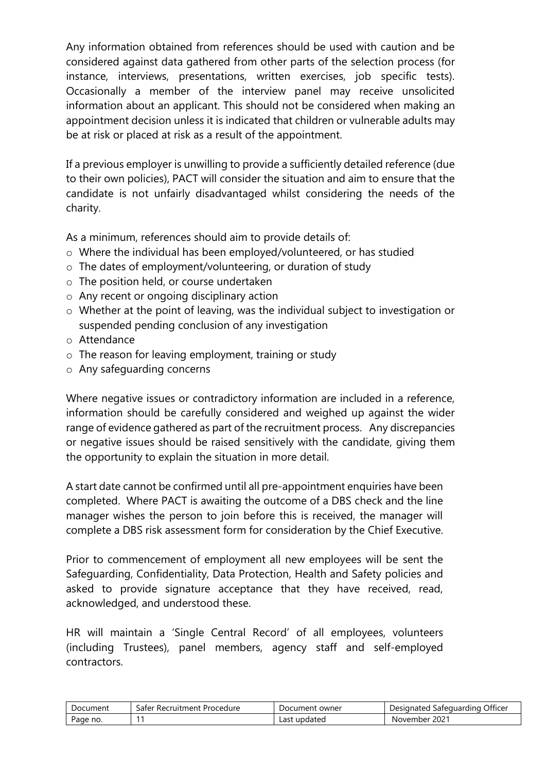Any information obtained from references should be used with caution and be considered against data gathered from other parts of the selection process (for instance, interviews, presentations, written exercises, job specific tests). Occasionally a member of the interview panel may receive unsolicited information about an applicant. This should not be considered when making an appointment decision unless it is indicated that children or vulnerable adults may be at risk or placed at risk as a result of the appointment.

If a previous employer is unwilling to provide a sufficiently detailed reference (due to their own policies), PACT will consider the situation and aim to ensure that the candidate is not unfairly disadvantaged whilst considering the needs of the charity.

As a minimum, references should aim to provide details of:

- o Where the individual has been employed/volunteered, or has studied
- o The dates of employment/volunteering, or duration of study
- o The position held, or course undertaken
- o Any recent or ongoing disciplinary action
- o Whether at the point of leaving, was the individual subject to investigation or suspended pending conclusion of any investigation
- o Attendance
- o The reason for leaving employment, training or study
- o Any safeguarding concerns

Where negative issues or contradictory information are included in a reference, information should be carefully considered and weighed up against the wider range of evidence gathered as part of the recruitment process. Any discrepancies or negative issues should be raised sensitively with the candidate, giving them the opportunity to explain the situation in more detail.

A start date cannot be confirmed until all pre-appointment enquiries have been completed. Where PACT is awaiting the outcome of a DBS check and the line manager wishes the person to join before this is received, the manager will complete a DBS risk assessment form for consideration by the Chief Executive.

Prior to commencement of employment all new employees will be sent the Safeguarding, Confidentiality, Data Protection, Health and Safety policies and asked to provide signature acceptance that they have received, read, acknowledged, and understood these.

HR will maintain a 'Single Central Record' of all employees, volunteers (including Trustees), panel members, agency staff and self-employed contractors.

| Document | Safer Recruitment Procedure | Document<br>. owner | Officer<br>Designated<br>Safequarding |
|----------|-----------------------------|---------------------|---------------------------------------|
| Page no. |                             | Last<br>updated     | $202^{\circ}$<br>November             |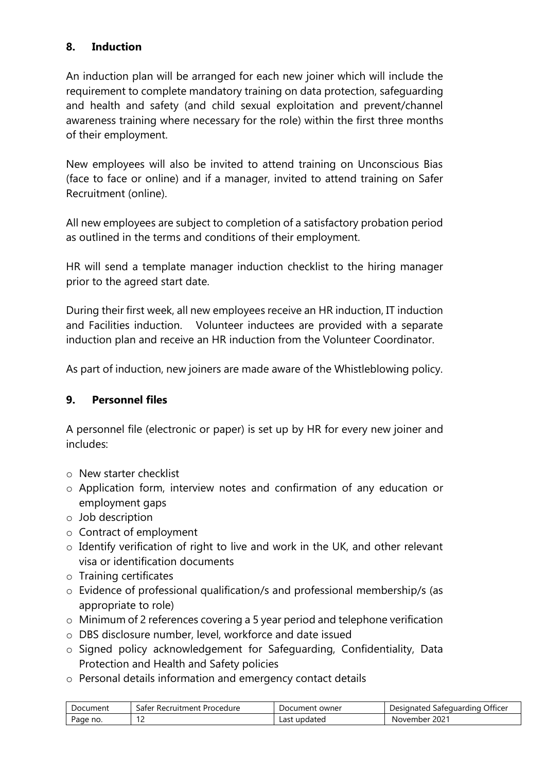### <span id="page-11-0"></span>**8. Induction**

An induction plan will be arranged for each new joiner which will include the requirement to complete mandatory training on data protection, safeguarding and health and safety (and child sexual exploitation and prevent/channel awareness training where necessary for the role) within the first three months of their employment.

New employees will also be invited to attend training on Unconscious Bias (face to face or online) and if a manager, invited to attend training on Safer Recruitment (online).

All new employees are subject to completion of a satisfactory probation period as outlined in the terms and conditions of their employment.

HR will send a template manager induction checklist to the hiring manager prior to the agreed start date.

During their first week, all new employees receive an HR induction, IT induction and Facilities induction. Volunteer inductees are provided with a separate induction plan and receive an HR induction from the Volunteer Coordinator.

As part of induction, new joiners are made aware of the Whistleblowing policy.

### <span id="page-11-1"></span>**9. Personnel files**

A personnel file (electronic or paper) is set up by HR for every new joiner and includes:

- o New starter checklist
- o Application form, interview notes and confirmation of any education or employment gaps
- o Job description
- o Contract of employment
- o Identify verification of right to live and work in the UK, and other relevant visa or identification documents
- o Training certificates
- o Evidence of professional qualification/s and professional membership/s (as appropriate to role)
- o Minimum of 2 references covering a 5 year period and telephone verification
- o DBS disclosure number, level, workforce and date issued
- o Signed policy acknowledgement for Safeguarding, Confidentiality, Data Protection and Health and Safety policies
- o Personal details information and emergency contact details

| Document | Procedure<br>۔aterد<br><sup>.</sup> Recruitment | owner<br>Document | $\sim$ cc.<br>Officer<br>Designated<br>Safeguarding |
|----------|-------------------------------------------------|-------------------|-----------------------------------------------------|
| Page no. | . .                                             | updated<br>Last   | $202^{\circ}$<br>November                           |